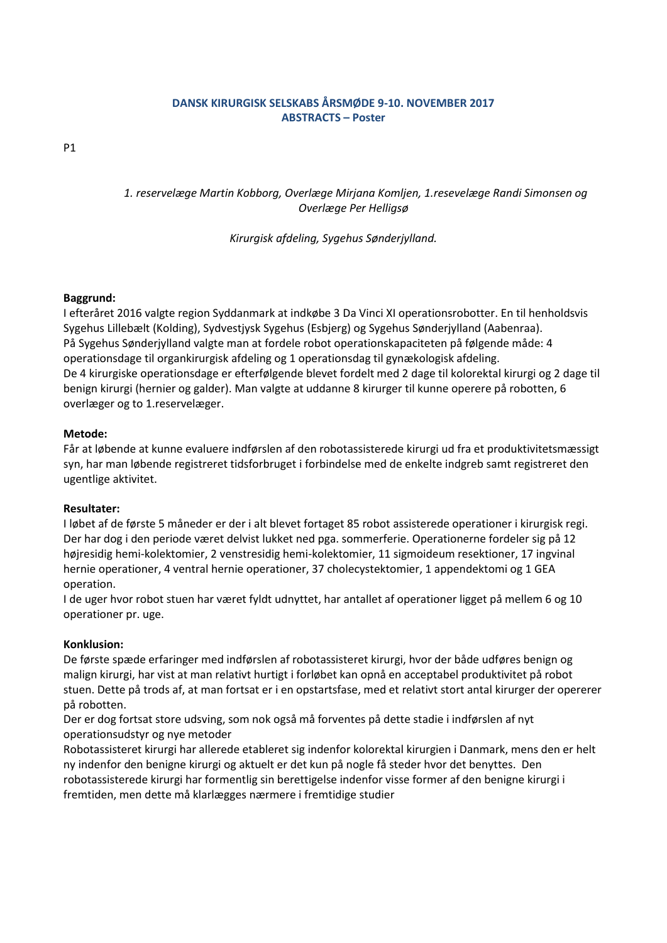# **DANSK KIRURGISK SELSKABS ÅRSMØDE 9-10. NOVEMBER 2017 ABSTRACTS – Poster**

P1

*1. reservelæge Martin Kobborg, Overlæge Mirjana Komljen, 1.resevelæge Randi Simonsen og Overlæge Per Helligsø*

*Kirurgisk afdeling, Sygehus Sønderjylland.*

### **Baggrund:**

I efteråret 2016 valgte region Syddanmark at indkøbe 3 Da Vinci XI operationsrobotter. En til henholdsvis Sygehus Lillebælt (Kolding), Sydvestjysk Sygehus (Esbjerg) og Sygehus Sønderjylland (Aabenraa). På Sygehus Sønderjylland valgte man at fordele robot operationskapaciteten på følgende måde: 4 operationsdage til organkirurgisk afdeling og 1 operationsdag til gynækologisk afdeling. De 4 kirurgiske operationsdage er efterfølgende blevet fordelt med 2 dage til kolorektal kirurgi og 2 dage til benign kirurgi (hernier og galder). Man valgte at uddanne 8 kirurger til kunne operere på robotten, 6 overlæger og to 1.reservelæger.

### **Metode:**

Får at løbende at kunne evaluere indførslen af den robotassisterede kirurgi ud fra et produktivitetsmæssigt syn, har man løbende registreret tidsforbruget i forbindelse med de enkelte indgreb samt registreret den ugentlige aktivitet.

### **Resultater:**

I løbet af de første 5 måneder er der i alt blevet fortaget 85 robot assisterede operationer i kirurgisk regi. Der har dog i den periode været delvist lukket ned pga. sommerferie. Operationerne fordeler sig på 12 højresidig hemi-kolektomier, 2 venstresidig hemi-kolektomier, 11 sigmoideum resektioner, 17 ingvinal hernie operationer, 4 ventral hernie operationer, 37 cholecystektomier, 1 appendektomi og 1 GEA operation.

I de uger hvor robot stuen har været fyldt udnyttet, har antallet af operationer ligget på mellem 6 og 10 operationer pr. uge.

### **Konklusion:**

De første spæde erfaringer med indførslen af robotassisteret kirurgi, hvor der både udføres benign og malign kirurgi, har vist at man relativt hurtigt i forløbet kan opnå en acceptabel produktivitet på robot stuen. Dette på trods af, at man fortsat er i en opstartsfase, med et relativt stort antal kirurger der opererer på robotten.

Der er dog fortsat store udsving, som nok også må forventes på dette stadie i indførslen af nyt operationsudstyr og nye metoder

Robotassisteret kirurgi har allerede etableret sig indenfor kolorektal kirurgien i Danmark, mens den er helt ny indenfor den benigne kirurgi og aktuelt er det kun på nogle få steder hvor det benyttes. Den robotassisterede kirurgi har formentlig sin berettigelse indenfor visse former af den benigne kirurgi i fremtiden, men dette må klarlægges nærmere i fremtidige studier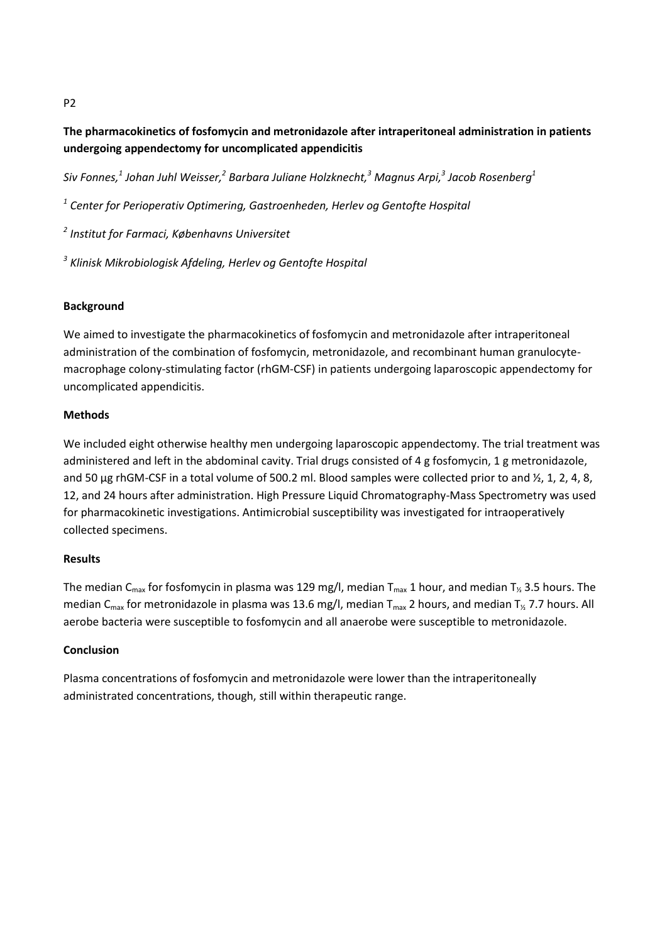# **The pharmacokinetics of fosfomycin and metronidazole after intraperitoneal administration in patients undergoing appendectomy for uncomplicated appendicitis**

*Siv Fonnes,<sup>1</sup> Johan Juhl Weisser,<sup>2</sup> Barbara Juliane Holzknecht,<sup>3</sup> Magnus Arpi,<sup>3</sup> Jacob Rosenberg<sup>1</sup>*

*1 Center for Perioperativ Optimering, Gastroenheden, Herlev og Gentofte Hospital*

*2 Institut for Farmaci, Københavns Universitet*

*3 Klinisk Mikrobiologisk Afdeling, Herlev og Gentofte Hospital*

# **Background**

We aimed to investigate the pharmacokinetics of fosfomycin and metronidazole after intraperitoneal administration of the combination of fosfomycin, metronidazole, and recombinant human granulocytemacrophage colony-stimulating factor (rhGM-CSF) in patients undergoing laparoscopic appendectomy for uncomplicated appendicitis.

### **Methods**

We included eight otherwise healthy men undergoing laparoscopic appendectomy. The trial treatment was administered and left in the abdominal cavity. Trial drugs consisted of 4 g fosfomycin, 1 g metronidazole, and 50 µg rhGM-CSF in a total volume of 500.2 ml. Blood samples were collected prior to and  $\frac{1}{2}$ , 1, 2, 4, 8, 12, and 24 hours after administration. High Pressure Liquid Chromatography-Mass Spectrometry was used for pharmacokinetic investigations. Antimicrobial susceptibility was investigated for intraoperatively collected specimens.

# **Results**

The median C<sub>max</sub> for fosfomycin in plasma was 129 mg/l, median T<sub>max</sub> 1 hour, and median T<sub>½</sub> 3.5 hours. The median C<sub>max</sub> for metronidazole in plasma was 13.6 mg/l, median T<sub>max</sub> 2 hours, and median T<sub>1/2</sub> 7.7 hours. All aerobe bacteria were susceptible to fosfomycin and all anaerobe were susceptible to metronidazole.

# **Conclusion**

Plasma concentrations of fosfomycin and metronidazole were lower than the intraperitoneally administrated concentrations, though, still within therapeutic range.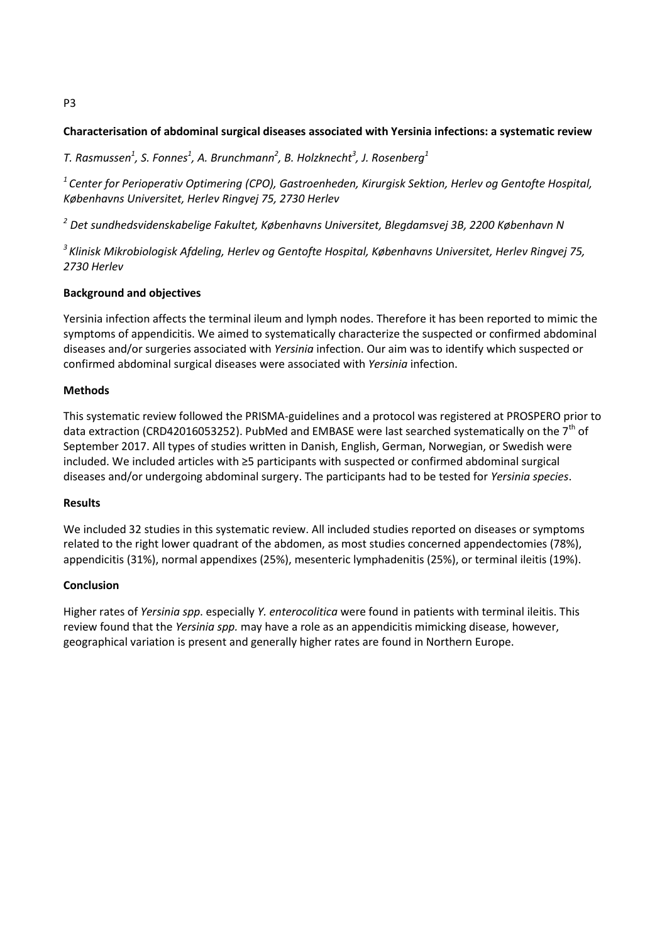# **Characterisation of abdominal surgical diseases associated with Yersinia infections: a systematic review**

*T. Rasmussen<sup>1</sup> , S. Fonnes<sup>1</sup> , A. Brunchmann<sup>2</sup> , B. Holzknecht<sup>3</sup> , J. Rosenberg<sup>1</sup>*

*<sup>1</sup>Center for Perioperativ Optimering (CPO), Gastroenheden, Kirurgisk Sektion, Herlev og Gentofte Hospital, Københavns Universitet, Herlev Ringvej 75, 2730 Herlev*

*<sup>2</sup> Det sundhedsvidenskabelige Fakultet, Københavns Universitet, Blegdamsvej 3B, 2200 København N*

*<sup>3</sup>Klinisk Mikrobiologisk Afdeling, Herlev og Gentofte Hospital, Københavns Universitet, Herlev Ringvej 75, 2730 Herlev*

### **Background and objectives**

Yersinia infection affects the terminal ileum and lymph nodes. Therefore it has been reported to mimic the symptoms of appendicitis. We aimed to systematically characterize the suspected or confirmed abdominal diseases and/or surgeries associated with *Yersinia* infection. Our aim was to identify which suspected or confirmed abdominal surgical diseases were associated with *Yersinia* infection.

### **Methods**

This systematic review followed the PRISMA-guidelines and a protocol was registered at PROSPERO prior to data extraction (CRD42016053252). PubMed and EMBASE were last searched systematically on the 7<sup>th</sup> of September 2017. All types of studies written in Danish, English, German, Norwegian, or Swedish were included. We included articles with ≥5 participants with suspected or confirmed abdominal surgical diseases and/or undergoing abdominal surgery. The participants had to be tested for *Yersinia species*.

### **Results**

We included 32 studies in this systematic review. All included studies reported on diseases or symptoms related to the right lower quadrant of the abdomen, as most studies concerned appendectomies (78%), appendicitis (31%), normal appendixes (25%), mesenteric lymphadenitis (25%), or terminal ileitis (19%).

### **Conclusion**

Higher rates of *Yersinia spp*. especially *Y. enterocolitica* were found in patients with terminal ileitis. This review found that the *Yersinia spp.* may have a role as an appendicitis mimicking disease, however, geographical variation is present and generally higher rates are found in Northern Europe.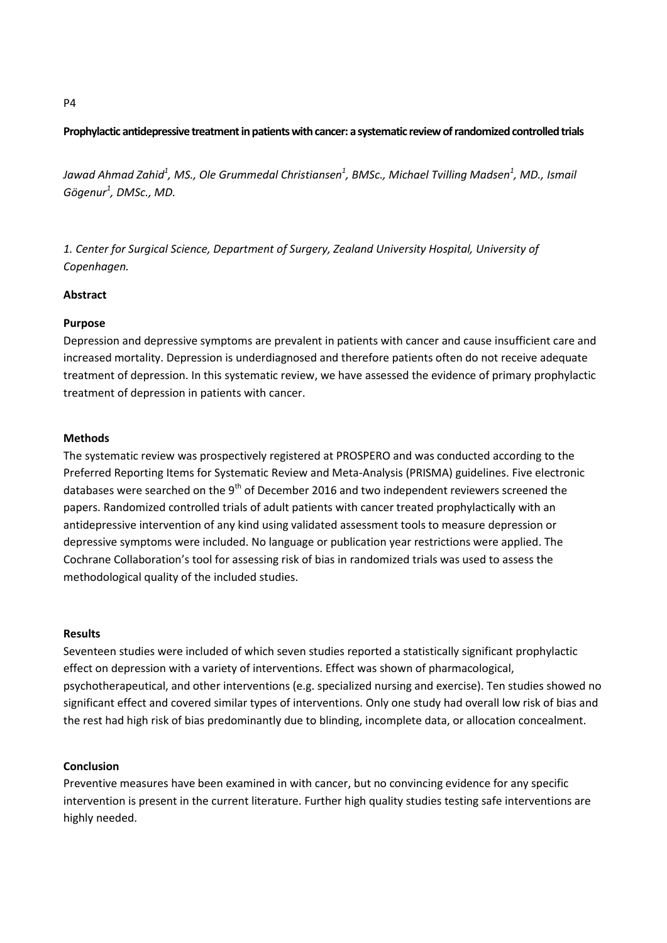### **Prophylactic antidepressive treatment in patients with cancer: a systematic review of randomized controlled trials**

*Jawad Ahmad Zahid<sup>1</sup> , MS., Ole Grummedal Christiansen<sup>1</sup> , BMSc., Michael Tvilling Madsen<sup>1</sup> , MD., Ismail Gögenur<sup>1</sup> , DMSc., MD.*

*1. Center for Surgical Science, Department of Surgery, Zealand University Hospital, University of Copenhagen.*

#### **Abstract**

#### **Purpose**

Depression and depressive symptoms are prevalent in patients with cancer and cause insufficient care and increased mortality. Depression is underdiagnosed and therefore patients often do not receive adequate treatment of depression. In this systematic review, we have assessed the evidence of primary prophylactic treatment of depression in patients with cancer.

#### **Methods**

The systematic review was prospectively registered at PROSPERO and was conducted according to the Preferred Reporting Items for Systematic Review and Meta-Analysis (PRISMA) guidelines. Five electronic databases were searched on the 9<sup>th</sup> of December 2016 and two independent reviewers screened the papers. Randomized controlled trials of adult patients with cancer treated prophylactically with an antidepressive intervention of any kind using validated assessment tools to measure depression or depressive symptoms were included. No language or publication year restrictions were applied. The Cochrane Collaboration's tool for assessing risk of bias in randomized trials was used to assess the methodological quality of the included studies.

#### **Results**

Seventeen studies were included of which seven studies reported a statistically significant prophylactic effect on depression with a variety of interventions. Effect was shown of pharmacological, psychotherapeutical, and other interventions (e.g. specialized nursing and exercise). Ten studies showed no significant effect and covered similar types of interventions. Only one study had overall low risk of bias and the rest had high risk of bias predominantly due to blinding, incomplete data, or allocation concealment.

#### **Conclusion**

Preventive measures have been examined in with cancer, but no convincing evidence for any specific intervention is present in the current literature. Further high quality studies testing safe interventions are highly needed.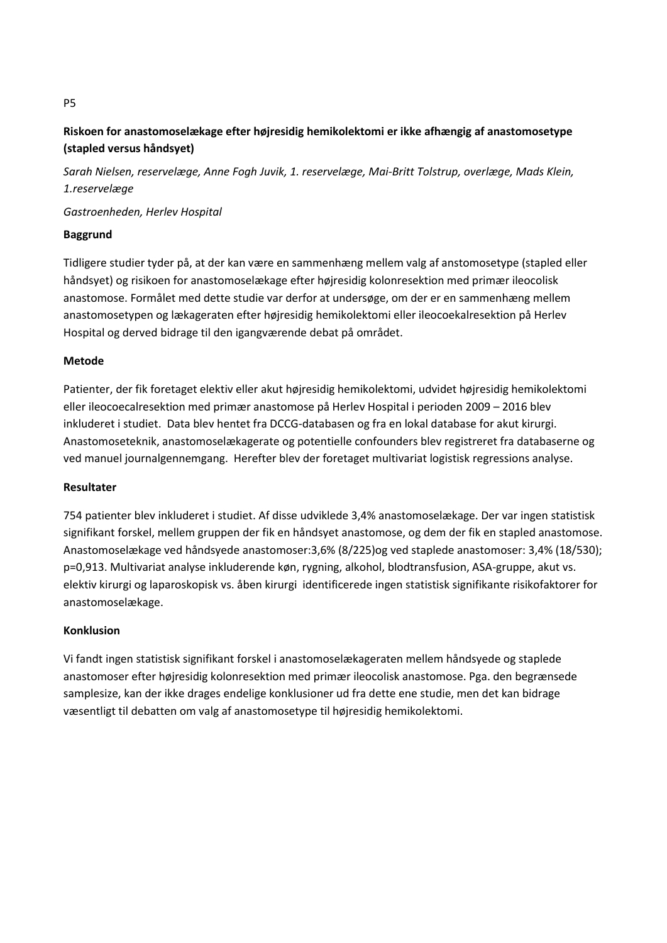# **Riskoen for anastomoselækage efter højresidig hemikolektomi er ikke afhængig af anastomosetype (stapled versus håndsyet)**

*Sarah Nielsen, reservelæge, Anne Fogh Juvik, 1. reservelæge, Mai-Britt Tolstrup, overlæge, Mads Klein, 1.reservelæge*

*Gastroenheden, Herlev Hospital*

# **Baggrund**

Tidligere studier tyder på, at der kan være en sammenhæng mellem valg af anstomosetype (stapled eller håndsyet) og risikoen for anastomoselækage efter højresidig kolonresektion med primær ileocolisk anastomose. Formålet med dette studie var derfor at undersøge, om der er en sammenhæng mellem anastomosetypen og lækageraten efter højresidig hemikolektomi eller ileocoekalresektion på Herlev Hospital og derved bidrage til den igangværende debat på området.

### **Metode**

Patienter, der fik foretaget elektiv eller akut højresidig hemikolektomi, udvidet højresidig hemikolektomi eller ileocoecalresektion med primær anastomose på Herlev Hospital i perioden 2009 – 2016 blev inkluderet i studiet. Data blev hentet fra DCCG-databasen og fra en lokal database for akut kirurgi. Anastomoseteknik, anastomoselækagerate og potentielle confounders blev registreret fra databaserne og ved manuel journalgennemgang. Herefter blev der foretaget multivariat logistisk regressions analyse.

### **Resultater**

754 patienter blev inkluderet i studiet. Af disse udviklede 3,4% anastomoselækage. Der var ingen statistisk signifikant forskel, mellem gruppen der fik en håndsyet anastomose, og dem der fik en stapled anastomose. Anastomoselækage ved håndsyede anastomoser:3,6% (8/225)og ved staplede anastomoser: 3,4% (18/530); p=0,913. Multivariat analyse inkluderende køn, rygning, alkohol, blodtransfusion, ASA-gruppe, akut vs. elektiv kirurgi og laparoskopisk vs. åben kirurgi identificerede ingen statistisk signifikante risikofaktorer for anastomoselækage.

# **Konklusion**

Vi fandt ingen statistisk signifikant forskel i anastomoselækageraten mellem håndsyede og staplede anastomoser efter højresidig kolonresektion med primær ileocolisk anastomose. Pga. den begrænsede samplesize, kan der ikke drages endelige konklusioner ud fra dette ene studie, men det kan bidrage væsentligt til debatten om valg af anastomosetype til højresidig hemikolektomi.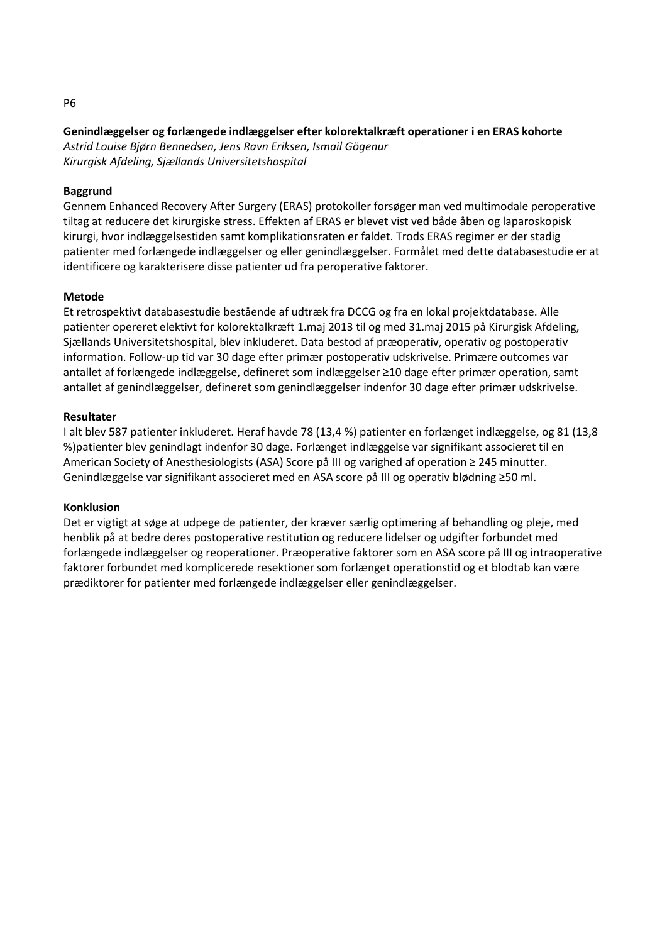### **Genindlæggelser og forlængede indlæggelser efter kolorektalkræft operationer i en ERAS kohorte**

*Astrid Louise Bjørn Bennedsen, Jens Ravn Eriksen, Ismail Gögenur Kirurgisk Afdeling, Sjællands Universitetshospital*

### **Baggrund**

Gennem Enhanced Recovery After Surgery (ERAS) protokoller forsøger man ved multimodale peroperative tiltag at reducere det kirurgiske stress. Effekten af ERAS er blevet vist ved både åben og laparoskopisk kirurgi, hvor indlæggelsestiden samt komplikationsraten er faldet. Trods ERAS regimer er der stadig patienter med forlængede indlæggelser og eller genindlæggelser. Formålet med dette databasestudie er at identificere og karakterisere disse patienter ud fra peroperative faktorer.

### **Metode**

Et retrospektivt databasestudie bestående af udtræk fra DCCG og fra en lokal projektdatabase. Alle patienter opereret elektivt for kolorektalkræft 1.maj 2013 til og med 31.maj 2015 på Kirurgisk Afdeling, Sjællands Universitetshospital, blev inkluderet. Data bestod af præoperativ, operativ og postoperativ information. Follow-up tid var 30 dage efter primær postoperativ udskrivelse. Primære outcomes var antallet af forlængede indlæggelse, defineret som indlæggelser ≥10 dage efter primær operation, samt antallet af genindlæggelser, defineret som genindlæggelser indenfor 30 dage efter primær udskrivelse.

### **Resultater**

I alt blev 587 patienter inkluderet. Heraf havde 78 (13,4 %) patienter en forlænget indlæggelse, og 81 (13,8 %)patienter blev genindlagt indenfor 30 dage. Forlænget indlæggelse var signifikant associeret til en American Society of Anesthesiologists (ASA) Score på III og varighed af operation ≥ 245 minutter. Genindlæggelse var signifikant associeret med en ASA score på III og operativ blødning ≥50 ml.

### **Konklusion**

Det er vigtigt at søge at udpege de patienter, der kræver særlig optimering af behandling og pleje, med henblik på at bedre deres postoperative restitution og reducere lidelser og udgifter forbundet med forlængede indlæggelser og reoperationer. Præoperative faktorer som en ASA score på III og intraoperative faktorer forbundet med komplicerede resektioner som forlænget operationstid og et blodtab kan være prædiktorer for patienter med forlængede indlæggelser eller genindlæggelser.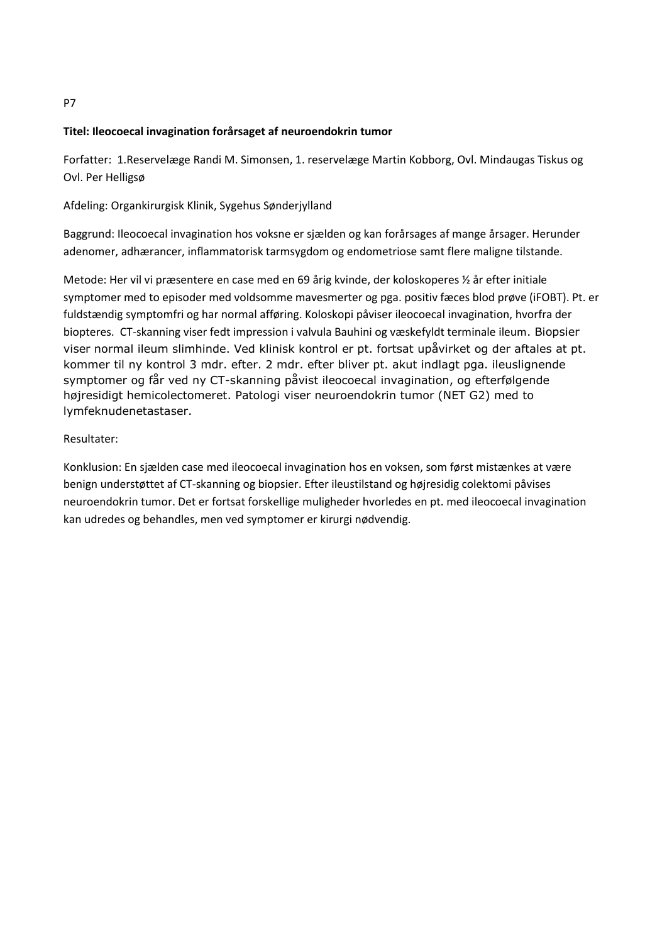# **Titel: Ileocoecal invagination forårsaget af neuroendokrin tumor**

Forfatter: 1.Reservelæge Randi M. Simonsen, 1. reservelæge Martin Kobborg, Ovl. Mindaugas Tiskus og Ovl. Per Helligsø

Afdeling: Organkirurgisk Klinik, Sygehus Sønderjylland

Baggrund: Ileocoecal invagination hos voksne er sjælden og kan forårsages af mange årsager. Herunder adenomer, adhærancer, inflammatorisk tarmsygdom og endometriose samt flere maligne tilstande.

Metode: Her vil vi præsentere en case med en 69 årig kvinde, der koloskoperes ½ år efter initiale symptomer med to episoder med voldsomme mavesmerter og pga. positiv fæces blod prøve (iFOBT). Pt. er fuldstændig symptomfri og har normal afføring. Koloskopi påviser ileocoecal invagination, hvorfra der biopteres. CT-skanning viser fedt impression i valvula Bauhini og væskefyldt terminale ileum. Biopsier viser normal ileum slimhinde. Ved klinisk kontrol er pt. fortsat upåvirket og der aftales at pt. kommer til ny kontrol 3 mdr. efter. 2 mdr. efter bliver pt. akut indlagt pga. ileuslignende symptomer og får ved ny CT-skanning påvist ileocoecal invagination, og efterfølgende højresidigt hemicolectomeret. Patologi viser neuroendokrin tumor (NET G2) med to lymfeknudenetastaser.

# Resultater:

Konklusion: En sjælden case med ileocoecal invagination hos en voksen, som først mistænkes at være benign understøttet af CT-skanning og biopsier. Efter ileustilstand og højresidig colektomi påvises neuroendokrin tumor. Det er fortsat forskellige muligheder hvorledes en pt. med ileocoecal invagination kan udredes og behandles, men ved symptomer er kirurgi nødvendig.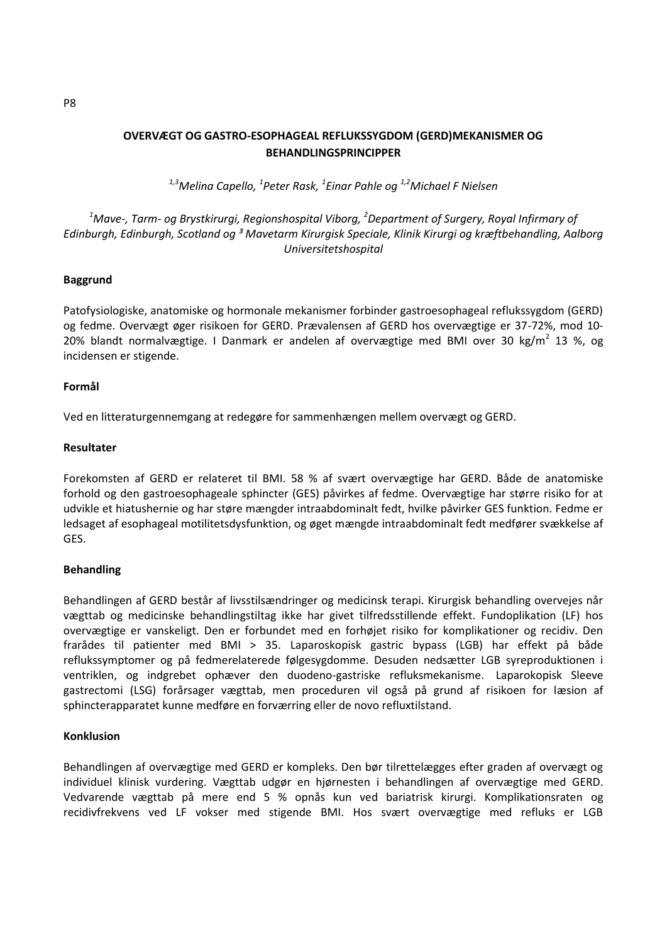# **OVERVÆGT OG GASTRO-ESOPHAGEAL REFLUKSSYGDOM (GERD)MEKANISMER OG BEHANDLINGSPRINCIPPER**

*1,3Melina Capello, <sup>1</sup> Peter Rask, <sup>1</sup> Einar Pahle og 1,2Michael F Nielsen*

# *<sup>1</sup>Mave-, Tarm- og Brystkirurgi, Regionshospital Viborg, <sup>2</sup>Department of Surgery, Royal Infirmary of Edinburgh, Edinburgh, Scotland og ³ Mavetarm Kirurgisk Speciale, Klinik Kirurgi og kræftbehandling, Aalborg Universitetshospital*

#### **Baggrund**

Patofysiologiske, anatomiske og hormonale mekanismer forbinder gastroesophageal reflukssygdom (GERD) og fedme. Overvægt øger risikoen for GERD. Prævalensen af GERD hos overvægtige er 37-72%, mod 10- 20% blandt normalvægtige. I Danmark er andelen af overvægtige med BMI over 30 kg/m<sup>2</sup> 13 %, og incidensen er stigende.

#### **Formål**

Ved en litteraturgennemgang at redegøre for sammenhængen mellem overvægt og GERD.

#### **Resultater**

Forekomsten af GERD er relateret til BMI. 58 % af svært overvægtige har GERD. Både de anatomiske forhold og den gastroesophageale sphincter (GES) påvirkes af fedme. Overvægtige har større risiko for at udvikle et hiatushernie og har støre mængder intraabdominalt fedt, hvilke påvirker GES funktion. Fedme er ledsaget af esophageal motilitetsdysfunktion, og øget mængde intraabdominalt fedt medfører svækkelse af GES.

### **Behandling**

Behandlingen af GERD består af livsstilsændringer og medicinsk terapi. Kirurgisk behandling overvejes når vægttab og medicinske behandlingstiltag ikke har givet tilfredsstillende effekt. Fundoplikation (LF) hos overvægtige er vanskeligt. Den er forbundet med en forhøjet risiko for komplikationer og recidiv. Den frarådes til patienter med BMI > 35. Laparoskopisk gastric bypass (LGB) har effekt på både reflukssymptomer og på fedmerelaterede følgesygdomme. Desuden nedsætter LGB syreproduktionen i ventriklen, og indgrebet ophæver den duodeno-gastriske refluksmekanisme. Laparokopisk Sleeve gastrectomi (LSG) forårsager vægttab, men proceduren vil også på grund af risikoen for læsion af sphincterapparatet kunne medføre en forværring eller de novo refluxtilstand.

#### **Konklusion**

Behandlingen af overvægtige med GERD er kompleks. Den bør tilrettelægges efter graden af overvægt og individuel klinisk vurdering. Vægttab udgør en hjørnesten i behandlingen af overvægtige med GERD. Vedvarende vægttab på mere end 5 % opnås kun ved bariatrisk kirurgi. Komplikationsraten og recidivfrekvens ved LF vokser med stigende BMI. Hos svært overvægtige med refluks er LGB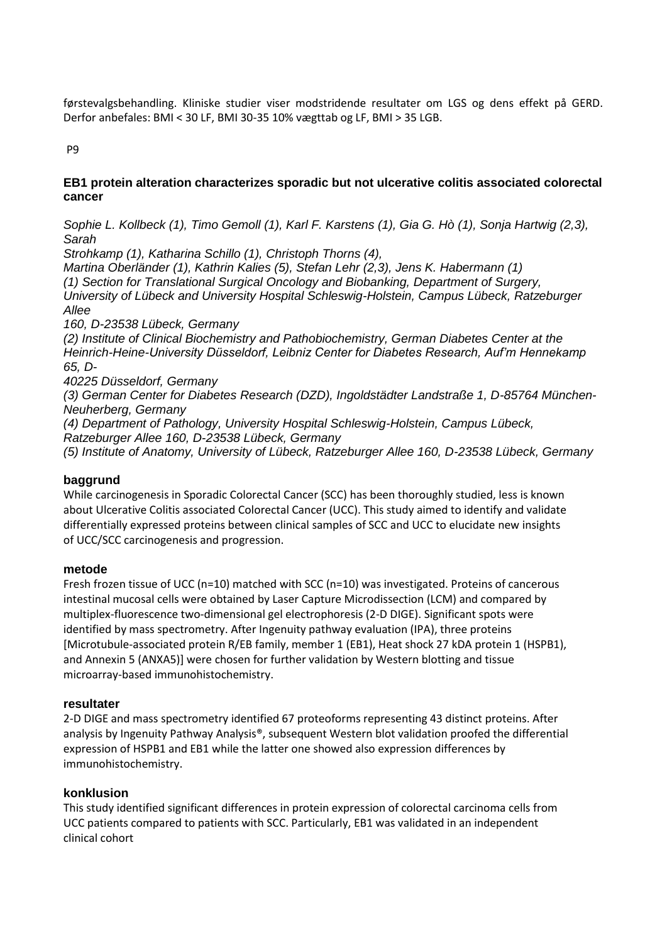førstevalgsbehandling. Kliniske studier viser modstridende resultater om LGS og dens effekt på GERD. Derfor anbefales: BMI < 30 LF, BMI 30-35 10% vægttab og LF, BMI > 35 LGB.

P9

# **EB1 protein alteration characterizes sporadic but not ulcerative colitis associated colorectal cancer**

*Sophie L. Kollbeck (1), Timo Gemoll (1), Karl F. Karstens (1), Gia G. Hò (1), Sonja Hartwig (2,3), Sarah*

*Strohkamp (1), Katharina Schillo (1), Christoph Thorns (4),*

*Martina Oberländer (1), Kathrin Kalies (5), Stefan Lehr (2,3), Jens K. Habermann (1) (1) Section for Translational Surgical Oncology and Biobanking, Department of Surgery, University of Lübeck and University Hospital Schleswig-Holstein, Campus Lübeck, Ratzeburger Allee*

*160, D-23538 Lübeck, Germany*

*(2) Institute of Clinical Biochemistry and Pathobiochemistry, German Diabetes Center at the Heinrich-Heine-University Düsseldorf, Leibniz Center for Diabetes Research, Auf'm Hennekamp 65, D-*

*40225 Düsseldorf, Germany*

*(3) German Center for Diabetes Research (DZD), Ingoldstädter Landstraße 1, D-85764 München-Neuherberg, Germany*

*(4) Department of Pathology, University Hospital Schleswig-Holstein, Campus Lübeck, Ratzeburger Allee 160, D-23538 Lübeck, Germany*

*(5) Institute of Anatomy, University of Lübeck, Ratzeburger Allee 160, D-23538 Lübeck, Germany*

# **baggrund**

While carcinogenesis in Sporadic Colorectal Cancer (SCC) has been thoroughly studied, less is known about Ulcerative Colitis associated Colorectal Cancer (UCC). This study aimed to identify and validate differentially expressed proteins between clinical samples of SCC and UCC to elucidate new insights of UCC/SCC carcinogenesis and progression.

# **metode**

Fresh frozen tissue of UCC (n=10) matched with SCC (n=10) was investigated. Proteins of cancerous intestinal mucosal cells were obtained by Laser Capture Microdissection (LCM) and compared by multiplex-fluorescence two-dimensional gel electrophoresis (2-D DIGE). Significant spots were identified by mass spectrometry. After Ingenuity pathway evaluation (IPA), three proteins [Microtubule-associated protein R/EB family, member 1 (EB1), Heat shock 27 kDA protein 1 (HSPB1), and Annexin 5 (ANXA5)] were chosen for further validation by Western blotting and tissue microarray-based immunohistochemistry.

# **resultater**

2-D DIGE and mass spectrometry identified 67 proteoforms representing 43 distinct proteins. After analysis by Ingenuity Pathway Analysis®, subsequent Western blot validation proofed the differential expression of HSPB1 and EB1 while the latter one showed also expression differences by immunohistochemistry.

# **konklusion**

This study identified significant differences in protein expression of colorectal carcinoma cells from UCC patients compared to patients with SCC. Particularly, EB1 was validated in an independent clinical cohort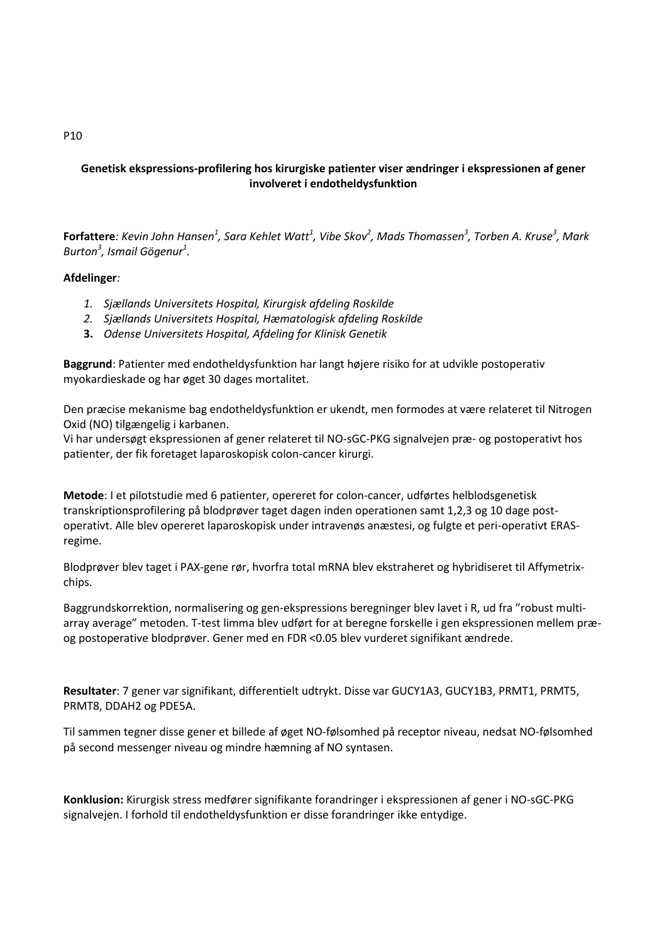# **Genetisk ekspressions-profilering hos kirurgiske patienter viser ændringer i ekspressionen af gener involveret i endotheldysfunktion**

**Forfattere**: Kevin John Hansen<sup>1</sup>, Sara Kehlet Watt<sup>1</sup>, Vibe Skov<sup>2</sup>, Mads Thomassen<sup>3</sup>, Torben A. Kruse<sup>3</sup>, Mark *Burton<sup>3</sup> , Ismail Gögenur<sup>1</sup> .*

### **Afdelinger***:*

- *1. Sjællands Universitets Hospital, Kirurgisk afdeling Roskilde*
- *2. Sjællands Universitets Hospital, Hæmatologisk afdeling Roskilde*
- **3.** *Odense Universitets Hospital, Afdeling for Klinisk Genetik*

**Baggrund**: Patienter med endotheldysfunktion har langt højere risiko for at udvikle postoperativ myokardieskade og har øget 30 dages mortalitet.

Den præcise mekanisme bag endotheldysfunktion er ukendt, men formodes at være relateret til Nitrogen Oxid (NO) tilgængelig i karbanen.

Vi har undersøgt ekspressionen af gener relateret til NO-sGC-PKG signalvejen præ- og postoperativt hos patienter, der fik foretaget laparoskopisk colon-cancer kirurgi.

**Metode**: I et pilotstudie med 6 patienter, opereret for colon-cancer, udførtes helblodsgenetisk transkriptionsprofilering på blodprøver taget dagen inden operationen samt 1,2,3 og 10 dage postoperativt. Alle blev opereret laparoskopisk under intravenøs anæstesi, og fulgte et peri-operativt ERASregime.

Blodprøver blev taget i PAX-gene rør, hvorfra total mRNA blev ekstraheret og hybridiseret til Affymetrixchips.

Baggrundskorrektion, normalisering og gen-ekspressions beregninger blev lavet i R, ud fra "robust multiarray average" metoden. T-test limma blev udført for at beregne forskelle i gen ekspressionen mellem præog postoperative blodprøver. Gener med en FDR <0.05 blev vurderet signifikant ændrede.

**Resultater**: 7 gener var signifikant, differentielt udtrykt. Disse var GUCY1A3, GUCY1B3, PRMT1, PRMT5, PRMT8, DDAH2 og PDE5A.

Til sammen tegner disse gener et billede af øget NO-følsomhed på receptor niveau, nedsat NO-følsomhed på second messenger niveau og mindre hæmning af NO syntasen.

**Konklusion:** Kirurgisk stress medfører signifikante forandringer i ekspressionen af gener i NO-sGC-PKG signalvejen. I forhold til endotheldysfunktion er disse forandringer ikke entydige.